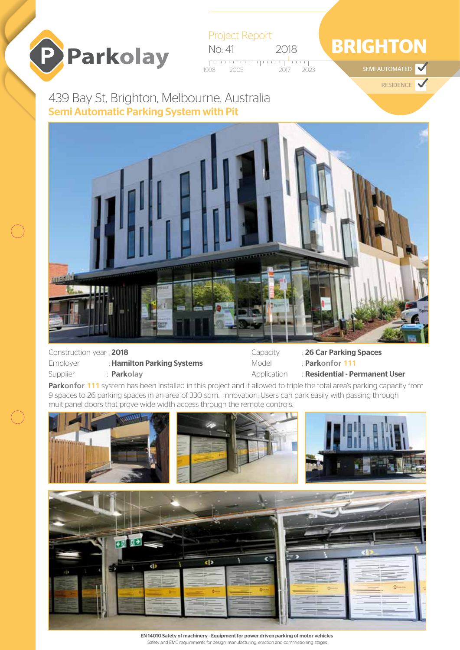



## **BRIGHTON**

SEMI-AUTOMATED  $\blacktriangledown$ 

RESIDENCE

439 Bay St, Brighton, Melbourne, Australia Semi Automatic Parking System with Pit



| Construction year: 2018 |                            |
|-------------------------|----------------------------|
| Employer                | : Hamilton Parking Systems |
| Supplier                | : Parkolay                 |

Capacity : 26 Car Parking Spaces

Model : **Parkonfor 111**

Application : Residential - Permanent User

**Parkonfor 111** system has been installed in this project and it allowed to triple the total area's parking capacity from 9 spaces to 26 parking spaces in an area of 330 sqm. Innovation: Users can park easily with passing through multipanel doors that prove wide width access through the remote controls.



EN 14010 Safety of machinery - Equipment for power driven parking of motor vehicles Safety and EMC requirements for design, manufacturing, erection and commissioning stages